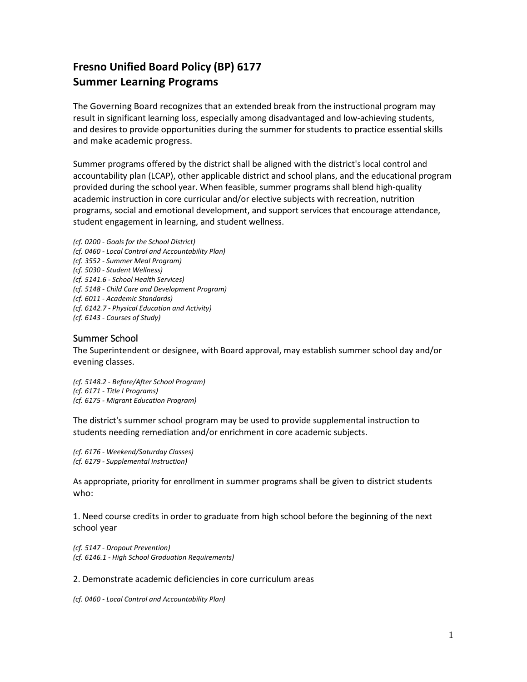# **Fresno Unified Board Policy (BP) 6177 Summer Learning Programs**

The Governing Board recognizes that an extended break from the instructional program may result in significant learning loss, especially among disadvantaged and low-achieving students, and desires to provide opportunities during the summer forstudents to practice essential skills and make academic progress.

Summer programs offered by the district shall be aligned with the district's local control and accountability plan (LCAP), other applicable district and school plans, and the educational program provided during the school year. When feasible, summer programs shall blend high-quality academic instruction in core curricular and/or elective subjects with recreation, nutrition programs, social and emotional development, and support services that encourage attendance, student engagement in learning, and student wellness.

*(cf. 0200 - Goals for the School District) (cf. 0460 - Local Control and Accountability Plan) (cf. 3552 - Summer Meal Program) (cf. 5030 - Student Wellness) (cf. 5141.6 - School Health Services) (cf. 5148 - Child Care and Development Program) (cf. 6011 - Academic Standards) (cf. 6142.7 - Physical Education and Activity) (cf. 6143 - Courses of Study)*

## Summer School

The Superintendent or designee, with Board approval, may establish summer school day and/or evening classes.

*(cf. 5148.2 - Before/After School Program) (cf. 6171 - Title I Programs) (cf. 6175 - Migrant Education Program)*

The district's summer school program may be used to provide supplemental instruction to students needing remediation and/or enrichment in core academic subjects.

*(cf. 6176 - Weekend/Saturday Classes) (cf. 6179 - Supplemental Instruction)*

As appropriate, priority for enrollment in summer programs shall be given to district students who:

1. Need course credits in order to graduate from high school before the beginning of the next school year

*(cf. 5147 - Dropout Prevention) (cf. 6146.1 - High School Graduation Requirements)*

#### 2. Demonstrate academic deficiencies in core curriculum areas

*(cf. 0460 - Local Control and Accountability Plan)*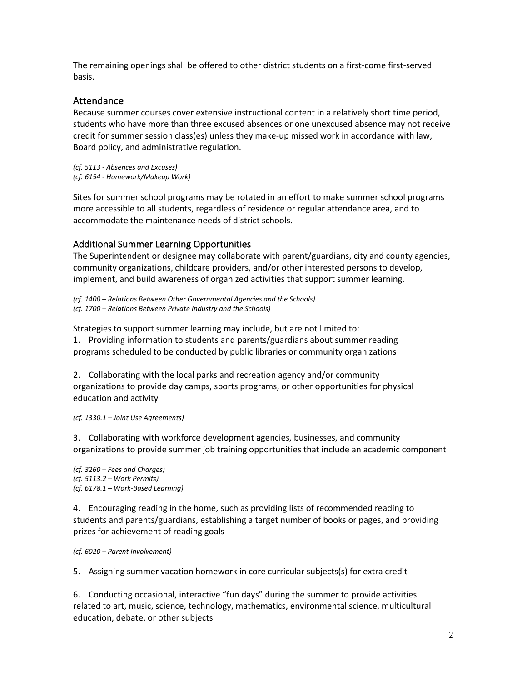The remaining openings shall be offered to other district students on a first-come first-served basis.

### **Attendance**

Because summer courses cover extensive instructional content in a relatively short time period, students who have more than three excused absences or one unexcused absence may not receive credit for summer session class(es) unless they make-up missed work in accordance with law, Board policy, and administrative regulation.

*(cf. 5113 - Absences and Excuses) (cf. 6154 - Homework/Makeup Work)*

Sites for summer school programs may be rotated in an effort to make summer school programs more accessible to all students, regardless of residence or regular attendance area, and to accommodate the maintenance needs of district schools.

#### Additional Summer Learning Opportunities

The Superintendent or designee may collaborate with parent/guardians, city and county agencies, community organizations, childcare providers, and/or other interested persons to develop, implement, and build awareness of organized activities that support summer learning.

*(cf. 1400 – Relations Between Other Governmental Agencies and the Schools) (cf. 1700 – Relations Between Private Industry and the Schools)*

Strategies to support summer learning may include, but are not limited to: 1. Providing information to students and parents/guardians about summer reading programs scheduled to be conducted by public libraries or community organizations

2. Collaborating with the local parks and recreation agency and/or community organizations to provide day camps, sports programs, or other opportunities for physical education and activity

*(cf. 1330.1 – Joint Use Agreements)*

3. Collaborating with workforce development agencies, businesses, and community organizations to provide summer job training opportunities that include an academic component

*(cf. 3260 – Fees and Charges) (cf. 5113.2 – Work Permits) (cf. 6178.1 – Work-Based Learning)*

4. Encouraging reading in the home, such as providing lists of recommended reading to students and parents/guardians, establishing a target number of books or pages, and providing prizes for achievement of reading goals

*(cf. 6020 – Parent Involvement)*

5. Assigning summer vacation homework in core curricular subjects(s) for extra credit

6. Conducting occasional, interactive "fun days" during the summer to provide activities related to art, music, science, technology, mathematics, environmental science, multicultural education, debate, or other subjects